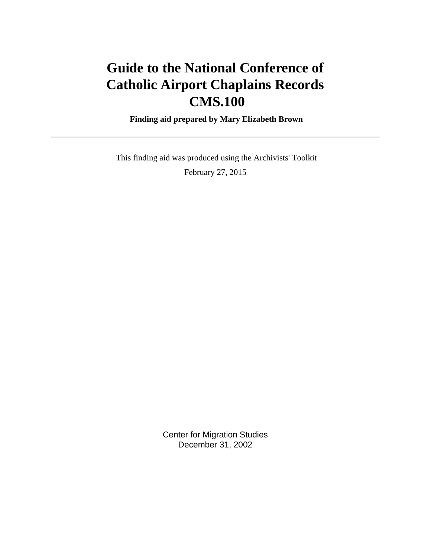# **Guide to the National Conference of Catholic Airport Chaplains Records CMS.100**

 **Finding aid prepared by Mary Elizabeth Brown**

 This finding aid was produced using the Archivists' Toolkit February 27, 2015

> Center for Migration Studies December 31, 2002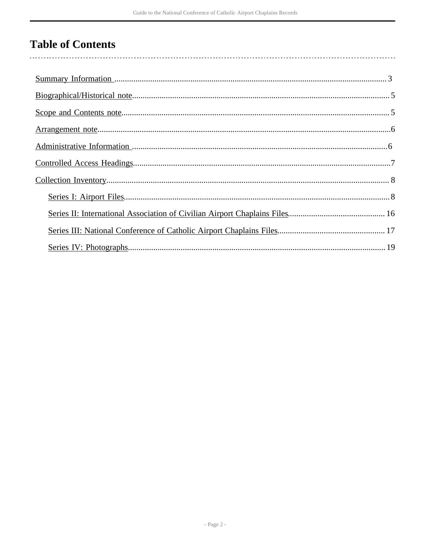# **Table of Contents**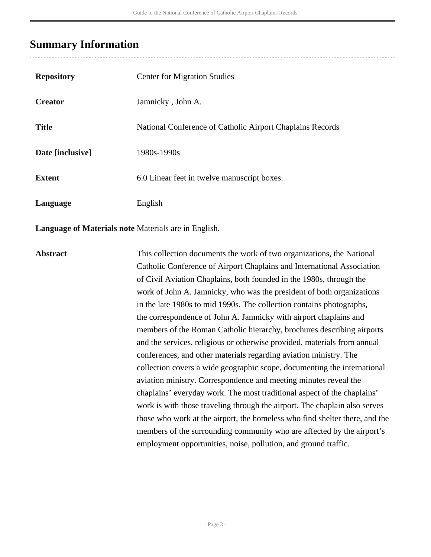## <span id="page-2-0"></span>**Summary Information**

| <b>Repository</b> | <b>Center for Migration Studies</b>                       |
|-------------------|-----------------------------------------------------------|
| <b>Creator</b>    | Jamnicky, John A.                                         |
| <b>Title</b>      | National Conference of Catholic Airport Chaplains Records |
| Date [inclusive]  | 1980s-1990s                                               |
| <b>Extent</b>     | 6.0 Linear feet in twelve manuscript boxes.               |
| Language          | English                                                   |

**Language of Materials note** Materials are in English.

Abstract This collection documents the work of two organizations, the National Catholic Conference of Airport Chaplains and International Association of Civil Aviation Chaplains, both founded in the 1980s, through the work of John A. Jamnicky, who was the president of both organizations in the late 1980s to mid 1990s. The collection contains photographs, the correspondence of John A. Jamnicky with airport chaplains and members of the Roman Catholic hierarchy, brochures describing airports and the services, religious or otherwise provided, materials from annual conferences, and other materials regarding aviation ministry. The collection covers a wide geographic scope, documenting the international aviation ministry. Correspondence and meeting minutes reveal the chaplains' everyday work. The most traditional aspect of the chaplains' work is with those traveling through the airport. The chaplain also serves those who work at the airport, the homeless who find shelter there, and the members of the surrounding community who are affected by the airport's employment opportunities, noise, pollution, and ground traffic.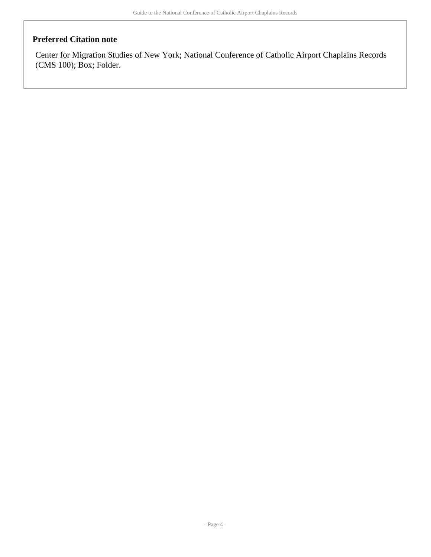#### **Preferred Citation note**

Center for Migration Studies of New York; National Conference of Catholic Airport Chaplains Records (CMS 100); Box; Folder.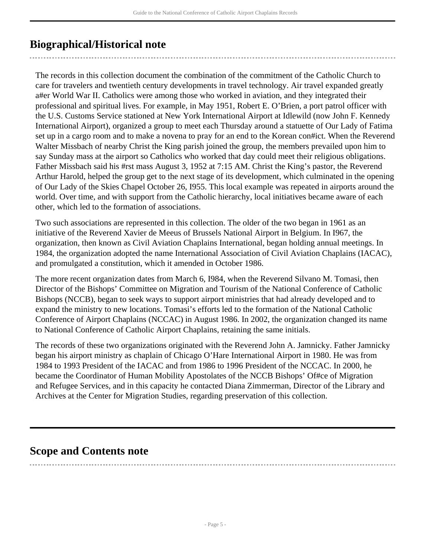## <span id="page-4-0"></span>**Biographical/Historical note**

The records in this collection document the combination of the commitment of the Catholic Church to care for travelers and twentieth century developments in travel technology. Air travel expanded greatly a#er World War II. Catholics were among those who worked in aviation, and they integrated their professional and spiritual lives. For example, in May 1951, Robert E. O'Brien, a port patrol officer with the U.S. Customs Service stationed at New York International Airport at Idlewild (now John F. Kennedy International Airport), organized a group to meet each Thursday around a statuette of Our Lady of Fatima set up in a cargo room and to make a novena to pray for an end to the Korean con#ict. When the Reverend Walter Missbach of nearby Christ the King parish joined the group, the members prevailed upon him to say Sunday mass at the airport so Catholics who worked that day could meet their religious obligations. Father Missbach said his #rst mass August 3, 1952 at 7:15 AM. Christ the King's pastor, the Reverend Arthur Harold, helped the group get to the next stage of its development, which culminated in the opening of Our Lady of the Skies Chapel October 26, I955. This local example was repeated in airports around the world. Over time, and with support from the Catholic hierarchy, local initiatives became aware of each other, which led to the formation of associations.

Two such associations are represented in this collection. The older of the two began in 1961 as an initiative of the Reverend Xavier de Meeus of Brussels National Airport in Belgium. In I967, the organization, then known as Civil Aviation Chaplains International, began holding annual meetings. In 1984, the organization adopted the name International Association of Civil Aviation Chaplains (IACAC), and promulgated a constitution, which it amended in October 1986.

The more recent organization dates from March 6, I984, when the Reverend Silvano M. Tomasi, then Director of the Bishops' Committee on Migration and Tourism of the National Conference of Catholic Bishops (NCCB), began to seek ways to support airport ministries that had already developed and to expand the ministry to new locations. Tomasi's efforts led to the formation of the National Catholic Conference of Airport Chaplains (NCCAC) in August 1986. In 2002, the organization changed its name to National Conference of Catholic Airport Chaplains, retaining the same initials.

The records of these two organizations originated with the Reverend John A. Jamnicky. Father Jamnicky began his airport ministry as chaplain of Chicago O'Hare International Airport in 1980. He was from 1984 to 1993 President of the IACAC and from 1986 to 1996 President of the NCCAC. In 2000, he became the Coordinator of Human Mobility Apostolates of the NCCB Bishops' Of#ce of Migration and Refugee Services, and in this capacity he contacted Diana Zimmerman, Director of the Library and Archives at the Center for Migration Studies, regarding preservation of this collection.

## <span id="page-4-1"></span>**Scope and Contents note**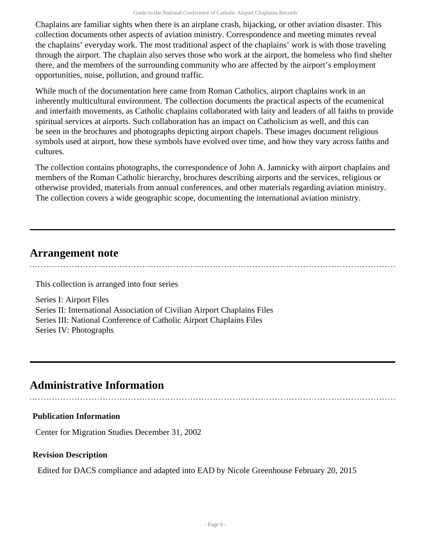Chaplains are familiar sights when there is an airplane crash, hijacking, or other aviation disaster. This collection documents other aspects of aviation ministry. Correspondence and meeting minutes reveal the chaplains' everyday work. The most traditional aspect of the chaplains' work is with those traveling through the airport. The chaplain also serves those who work at the airport, the homeless who find shelter there, and the members of the surrounding community who are affected by the airport's employment opportunities, noise, pollution, and ground traffic.

While much of the documentation here came from Roman Catholics, airport chaplains work in an inherently multicultural environment. The collection documents the practical aspects of the ecumenical and interfaith movements, as Catholic chaplains collaborated with laity and leaders of all faiths to provide spiritual services at airports. Such collaboration has an impact on Catholicism as well, and this can be seen in the brochures and photographs depicting airport chapels. These images document religious symbols used at airport, how these symbols have evolved over time, and how they vary across faiths and cultures.

The collection contains photographs, the correspondence of John A. Jamnicky with airport chaplains and members of the Roman Catholic hierarchy, brochures describing airports and the services, religious or otherwise provided, materials from annual conferences, and other materials regarding aviation ministry. The collection covers a wide geographic scope, documenting the international aviation ministry.

## <span id="page-5-0"></span>**Arrangement note**

This collection is arranged into four series

Series I: Airport Files Series II: International Association of Civilian Airport Chaplains Files Series III: National Conference of Catholic Airport Chaplains Files Series IV: Photographs

## <span id="page-5-1"></span>**Administrative Information**

### **Publication Information**

Center for Migration Studies December 31, 2002

### **Revision Description**

Edited for DACS compliance and adapted into EAD by Nicole Greenhouse February 20, 2015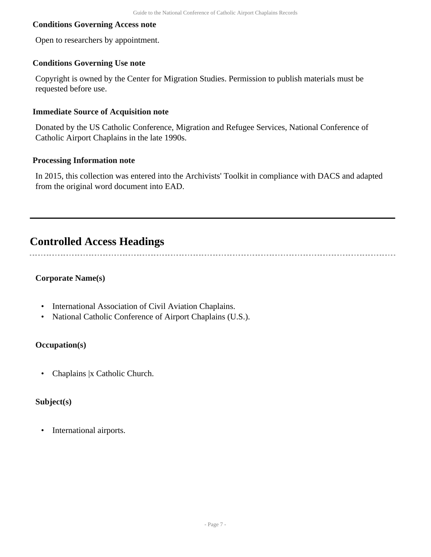#### **Conditions Governing Access note**

Open to researchers by appointment.

#### **Conditions Governing Use note**

Copyright is owned by the Center for Migration Studies. Permission to publish materials must be requested before use.

#### **Immediate Source of Acquisition note**

Donated by the US Catholic Conference, Migration and Refugee Services, National Conference of Catholic Airport Chaplains in the late 1990s.

#### **Processing Information note**

In 2015, this collection was entered into the Archivists' Toolkit in compliance with DACS and adapted from the original word document into EAD.

## <span id="page-6-0"></span>**Controlled Access Headings**

#### **Corporate Name(s)**

- International Association of Civil Aviation Chaplains.
- National Catholic Conference of Airport Chaplains (U.S.).

#### **Occupation(s)**

• Chaplains |x Catholic Church.

#### **Subject(s)**

• International airports.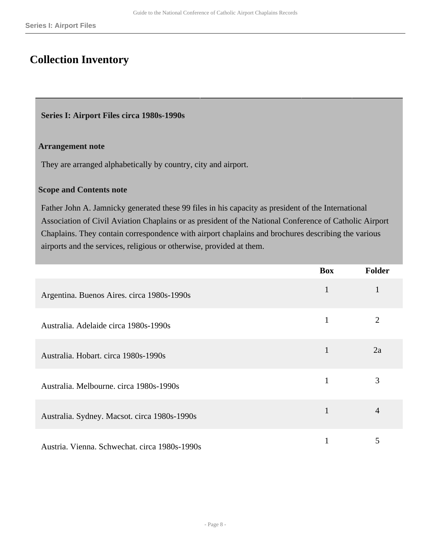## <span id="page-7-0"></span>**Collection Inventory**

#### <span id="page-7-1"></span>**Series I: Airport Files circa 1980s-1990s**

#### **Arrangement note**

They are arranged alphabetically by country, city and airport.

#### **Scope and Contents note**

Father John A. Jamnicky generated these 99 files in his capacity as president of the International Association of Civil Aviation Chaplains or as president of the National Conference of Catholic Airport Chaplains. They contain correspondence with airport chaplains and brochures describing the various airports and the services, religious or otherwise, provided at them.

|                                               | <b>Box</b>   | <b>Folder</b>  |
|-----------------------------------------------|--------------|----------------|
| Argentina. Buenos Aires. circa 1980s-1990s    | $\mathbf{1}$ | $\mathbf{1}$   |
| Australia. Adelaide circa 1980s-1990s         | 1            | $\overline{2}$ |
| Australia. Hobart. circa 1980s-1990s          | $\mathbf{1}$ | 2a             |
| Australia. Melbourne. circa 1980s-1990s       |              | 3              |
| Australia. Sydney. Macsot. circa 1980s-1990s  | $\mathbf{1}$ | $\overline{4}$ |
| Austria. Vienna. Schwechat. circa 1980s-1990s |              | 5              |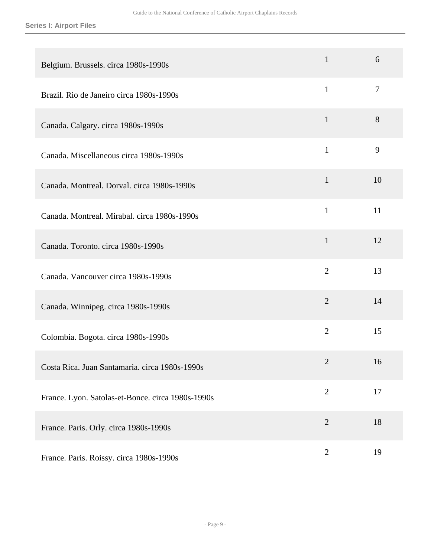| Belgium. Brussels. circa 1980s-1990s              | $\mathbf{1}$   | 6              |
|---------------------------------------------------|----------------|----------------|
| Brazil. Rio de Janeiro circa 1980s-1990s          | $\mathbf{1}$   | $\overline{7}$ |
| Canada. Calgary. circa 1980s-1990s                | $\mathbf{1}$   | 8              |
| Canada. Miscellaneous circa 1980s-1990s           | $\mathbf{1}$   | 9              |
| Canada. Montreal. Dorval. circa 1980s-1990s       | $\mathbf{1}$   | 10             |
| Canada. Montreal. Mirabal. circa 1980s-1990s      | $\mathbf{1}$   | 11             |
| Canada. Toronto. circa 1980s-1990s                | $\mathbf{1}$   | 12             |
| Canada. Vancouver circa 1980s-1990s               | $\overline{2}$ | 13             |
| Canada. Winnipeg. circa 1980s-1990s               | $\overline{2}$ | 14             |
| Colombia. Bogota. circa 1980s-1990s               | $\overline{2}$ | 15             |
| Costa Rica. Juan Santamaria. circa 1980s-1990s    | 2              | 16             |
| France. Lyon. Satolas-et-Bonce. circa 1980s-1990s | $\overline{2}$ | 17             |
| France. Paris. Orly. circa 1980s-1990s            | $\overline{2}$ | 18             |
| France. Paris. Roissy. circa 1980s-1990s          | $\overline{2}$ | 19             |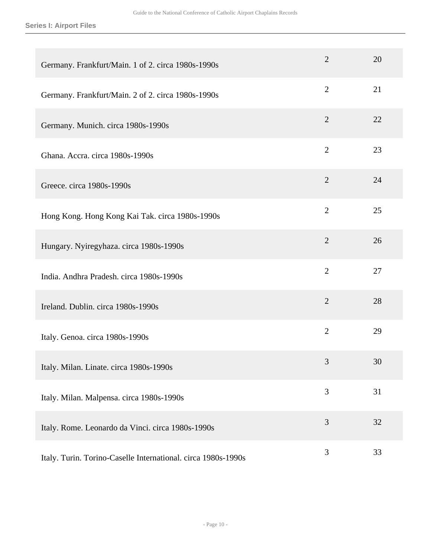**Series I: Airport Files**

| Germany. Frankfurt/Main. 1 of 2. circa 1980s-1990s            | $\overline{2}$ | 20 |
|---------------------------------------------------------------|----------------|----|
| Germany. Frankfurt/Main. 2 of 2. circa 1980s-1990s            | $\overline{2}$ | 21 |
| Germany. Munich. circa 1980s-1990s                            | $\overline{2}$ | 22 |
| Ghana. Accra. circa 1980s-1990s                               | $\overline{2}$ | 23 |
| Greece. circa 1980s-1990s                                     | $\overline{2}$ | 24 |
| Hong Kong. Hong Kong Kai Tak. circa 1980s-1990s               | $\overline{2}$ | 25 |
| Hungary. Nyiregyhaza. circa 1980s-1990s                       | $\overline{2}$ | 26 |
| India. Andhra Pradesh. circa 1980s-1990s                      | $\overline{2}$ | 27 |
| Ireland. Dublin. circa 1980s-1990s                            | $\overline{2}$ | 28 |
| Italy. Genoa. circa 1980s-1990s                               | $\overline{2}$ | 29 |
| Italy. Milan. Linate. circa 1980s-1990s                       | 3              | 30 |
| Italy. Milan. Malpensa. circa 1980s-1990s                     | 3              | 31 |
| Italy. Rome. Leonardo da Vinci. circa 1980s-1990s             | 3              | 32 |
| Italy. Turin. Torino-Caselle International. circa 1980s-1990s | 3              | 33 |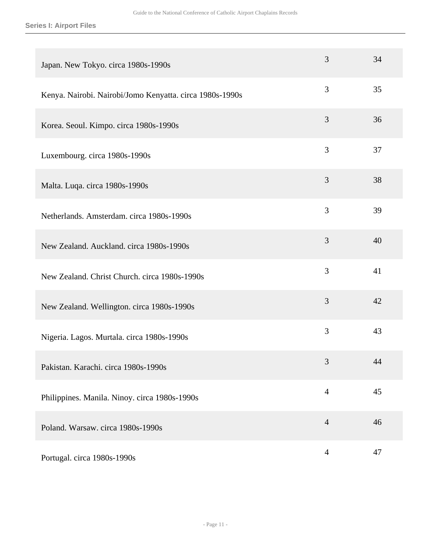| Japan. New Tokyo. circa 1980s-1990s                      | 3              | 34 |
|----------------------------------------------------------|----------------|----|
| Kenya. Nairobi. Nairobi/Jomo Kenyatta. circa 1980s-1990s | 3              | 35 |
| Korea. Seoul. Kimpo. circa 1980s-1990s                   | 3              | 36 |
| Luxembourg. circa 1980s-1990s                            | 3              | 37 |
| Malta. Luqa. circa 1980s-1990s                           | 3              | 38 |
| Netherlands. Amsterdam. circa 1980s-1990s                | 3              | 39 |
| New Zealand. Auckland. circa 1980s-1990s                 | 3              | 40 |
| New Zealand. Christ Church. circa 1980s-1990s            | 3              | 41 |
| New Zealand. Wellington. circa 1980s-1990s               | 3              | 42 |
| Nigeria. Lagos. Murtala. circa 1980s-1990s               | 3              | 43 |
| Pakistan. Karachi. circa 1980s-1990s                     | 3              | 44 |
| Philippines. Manila. Ninoy. circa 1980s-1990s            | $\overline{4}$ | 45 |
| Poland. Warsaw. circa 1980s-1990s                        | $\overline{4}$ | 46 |
| Portugal. circa 1980s-1990s                              | $\overline{4}$ | 47 |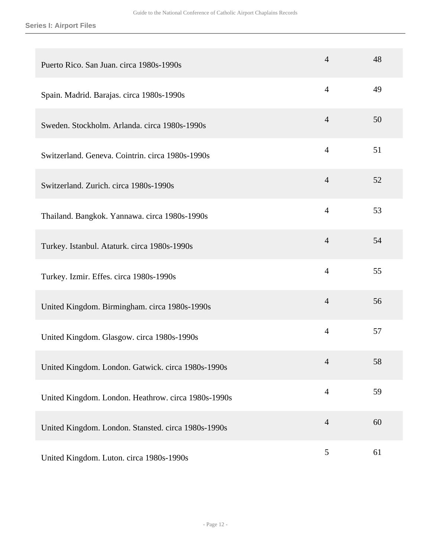| Puerto Rico. San Juan. circa 1980s-1990s            | $\overline{4}$ | 48 |
|-----------------------------------------------------|----------------|----|
| Spain. Madrid. Barajas. circa 1980s-1990s           | $\overline{4}$ | 49 |
| Sweden. Stockholm. Arlanda. circa 1980s-1990s       | $\overline{4}$ | 50 |
| Switzerland. Geneva. Cointrin. circa 1980s-1990s    | $\overline{4}$ | 51 |
| Switzerland. Zurich. circa 1980s-1990s              | $\overline{4}$ | 52 |
| Thailand. Bangkok. Yannawa. circa 1980s-1990s       | $\overline{4}$ | 53 |
| Turkey. Istanbul. Ataturk. circa 1980s-1990s        | $\overline{4}$ | 54 |
| Turkey. Izmir. Effes. circa 1980s-1990s             | $\overline{4}$ | 55 |
| United Kingdom. Birmingham. circa 1980s-1990s       | $\overline{4}$ | 56 |
| United Kingdom. Glasgow. circa 1980s-1990s          | $\overline{4}$ | 57 |
| United Kingdom. London. Gatwick. circa 1980s-1990s  | 4              | 58 |
| United Kingdom. London. Heathrow. circa 1980s-1990s | $\overline{4}$ | 59 |
| United Kingdom. London. Stansted. circa 1980s-1990s | $\overline{4}$ | 60 |
| United Kingdom. Luton. circa 1980s-1990s            | 5              | 61 |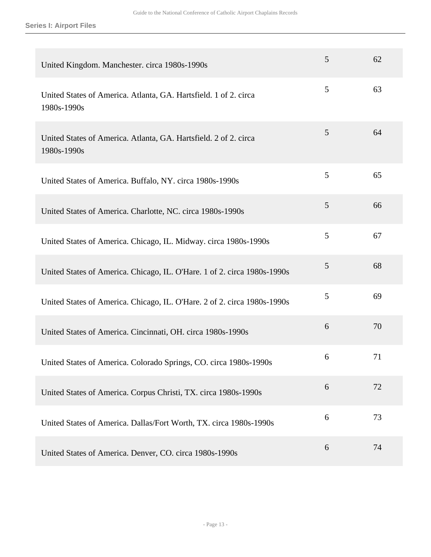| United Kingdom. Manchester. circa 1980s-1990s                                   | 5 | 62 |
|---------------------------------------------------------------------------------|---|----|
| United States of America. Atlanta, GA. Hartsfield. 1 of 2. circa<br>1980s-1990s | 5 | 63 |
| United States of America. Atlanta, GA. Hartsfield. 2 of 2. circa<br>1980s-1990s | 5 | 64 |
| United States of America. Buffalo, NY. circa 1980s-1990s                        | 5 | 65 |
| United States of America. Charlotte, NC. circa 1980s-1990s                      | 5 | 66 |
| United States of America. Chicago, IL. Midway. circa 1980s-1990s                | 5 | 67 |
| United States of America. Chicago, IL. O'Hare. 1 of 2. circa 1980s-1990s        | 5 | 68 |
| United States of America. Chicago, IL. O'Hare. 2 of 2. circa 1980s-1990s        | 5 | 69 |
| United States of America. Cincinnati, OH. circa 1980s-1990s                     | 6 | 70 |
| United States of America. Colorado Springs, CO. circa 1980s-1990s               | 6 | 71 |
| United States of America. Corpus Christi, TX. circa 1980s-1990s                 | 6 | 72 |
| United States of America. Dallas/Fort Worth, TX. circa 1980s-1990s              | 6 | 73 |
| United States of America. Denver, CO. circa 1980s-1990s                         | 6 | 74 |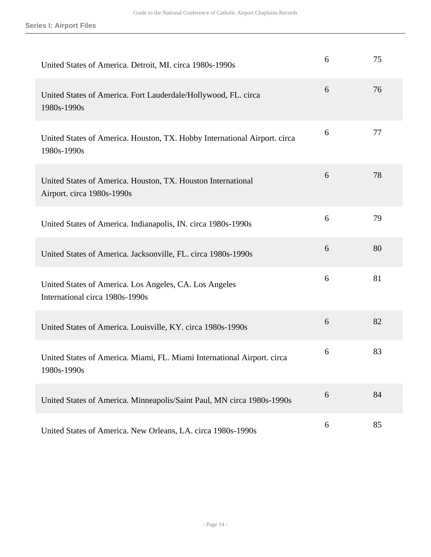| United States of America. Detroit, MI. circa 1980s-1990s                                   | 6 | 75 |
|--------------------------------------------------------------------------------------------|---|----|
| United States of America. Fort Lauderdale/Hollywood, FL. circa<br>1980s-1990s              | 6 | 76 |
| United States of America. Houston, TX. Hobby International Airport. circa<br>1980s-1990s   | 6 | 77 |
| United States of America. Houston, TX. Houston International<br>Airport. circa 1980s-1990s | 6 | 78 |
| United States of America. Indianapolis, IN. circa 1980s-1990s                              | 6 | 79 |
| United States of America. Jacksonville, FL. circa 1980s-1990s                              | 6 | 80 |
| United States of America. Los Angeles, CA. Los Angeles<br>International circa 1980s-1990s  | 6 | 81 |
| United States of America. Louisville, KY. circa 1980s-1990s                                | 6 | 82 |
| United States of America. Miami, FL. Miami International Airport. circa<br>1980s-1990s     | 6 | 83 |
| United States of America. Minneapolis/Saint Paul, MN circa 1980s-1990s                     | 6 | 84 |
| United States of America. New Orleans, LA. circa 1980s-1990s                               | 6 | 85 |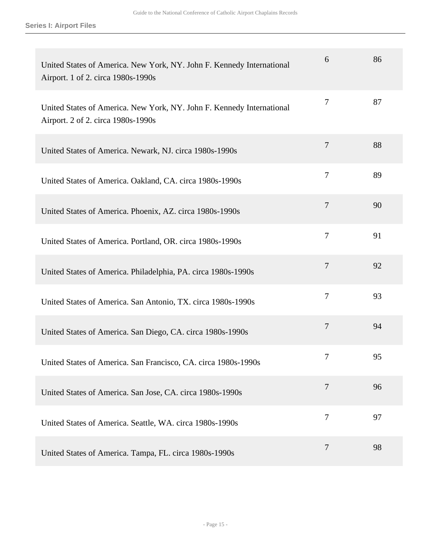| United States of America. New York, NY. John F. Kennedy International<br>Airport. 1 of 2. circa 1980s-1990s | 6              | 86 |
|-------------------------------------------------------------------------------------------------------------|----------------|----|
| United States of America. New York, NY. John F. Kennedy International<br>Airport. 2 of 2. circa 1980s-1990s | 7              | 87 |
| United States of America. Newark, NJ. circa 1980s-1990s                                                     | $\overline{7}$ | 88 |
| United States of America. Oakland, CA. circa 1980s-1990s                                                    | $\overline{7}$ | 89 |
| United States of America. Phoenix, AZ. circa 1980s-1990s                                                    | $\overline{7}$ | 90 |
| United States of America. Portland, OR. circa 1980s-1990s                                                   | $\overline{7}$ | 91 |
| United States of America. Philadelphia, PA. circa 1980s-1990s                                               | $\tau$         | 92 |
| United States of America. San Antonio, TX. circa 1980s-1990s                                                | $\tau$         | 93 |
| United States of America. San Diego, CA. circa 1980s-1990s                                                  | 7              | 94 |
| United States of America. San Francisco, CA. circa 1980s-1990s                                              | 7              | 95 |
| United States of America. San Jose, CA. circa 1980s-1990s                                                   | $\overline{7}$ | 96 |
| United States of America. Seattle, WA. circa 1980s-1990s                                                    | $\overline{7}$ | 97 |
| United States of America. Tampa, FL. circa 1980s-1990s                                                      | 7              | 98 |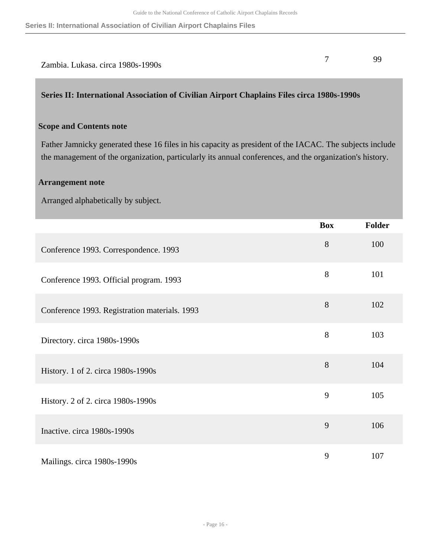| Zambia. Lukasa. circa 1980s-1990s |  |
|-----------------------------------|--|

#### <span id="page-15-0"></span>**Series II: International Association of Civilian Airport Chaplains Files circa 1980s-1990s**

#### **Scope and Contents note**

Father Jamnicky generated these 16 files in his capacity as president of the IACAC. The subjects include the management of the organization, particularly its annual conferences, and the organization's history.

#### **Arrangement note**

Arranged alphabetically by subject.

|                                               | <b>Box</b> | <b>Folder</b> |
|-----------------------------------------------|------------|---------------|
| Conference 1993. Correspondence. 1993         | 8          | 100           |
| Conference 1993. Official program. 1993       | 8          | 101           |
| Conference 1993. Registration materials. 1993 | 8          | 102           |
| Directory. circa 1980s-1990s                  | 8          | 103           |
| History. 1 of 2. circa 1980s-1990s            | 8          | 104           |
| History. 2 of 2. circa 1980s-1990s            | 9          | 105           |
| Inactive. circa 1980s-1990s                   | 9          | 106           |
| Mailings. circa 1980s-1990s                   | 9          | 107           |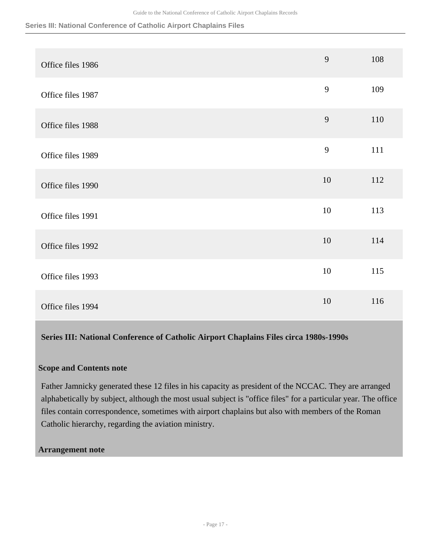**Series III: National Conference of Catholic Airport Chaplains Files**

| Office files 1986 | 9  | 108 |
|-------------------|----|-----|
| Office files 1987 | 9  | 109 |
| Office files 1988 | 9  | 110 |
| Office files 1989 | 9  | 111 |
| Office files 1990 | 10 | 112 |
| Office files 1991 | 10 | 113 |
| Office files 1992 | 10 | 114 |
| Office files 1993 | 10 | 115 |
| Office files 1994 | 10 | 116 |

#### <span id="page-16-0"></span>**Series III: National Conference of Catholic Airport Chaplains Files circa 1980s-1990s**

#### **Scope and Contents note**

Father Jamnicky generated these 12 files in his capacity as president of the NCCAC. They are arranged alphabetically by subject, although the most usual subject is "office files" for a particular year. The office files contain correspondence, sometimes with airport chaplains but also with members of the Roman Catholic hierarchy, regarding the aviation ministry.

#### **Arrangement note**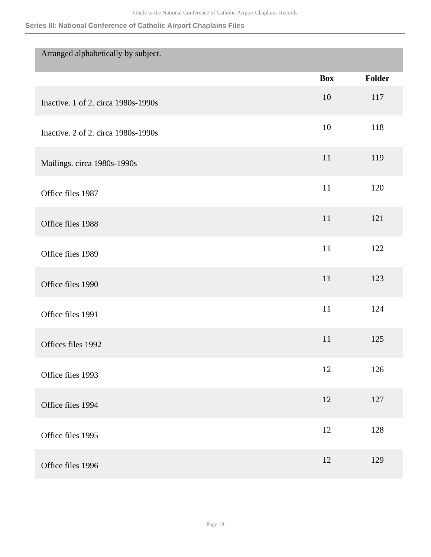#### **Series III: National Conference of Catholic Airport Chaplains Files**

| Arranged alphabetically by subject. |            |        |
|-------------------------------------|------------|--------|
|                                     | <b>Box</b> | Folder |
| Inactive. 1 of 2. circa 1980s-1990s | 10         | 117    |
| Inactive. 2 of 2. circa 1980s-1990s | 10         | 118    |
| Mailings. circa 1980s-1990s         | 11         | 119    |
| Office files 1987                   | 11         | 120    |
| Office files 1988                   | 11         | 121    |
| Office files 1989                   | 11         | 122    |
| Office files 1990                   | 11         | 123    |
| Office files 1991                   | 11         | 124    |
| Offices files 1992                  | 11         | 125    |
| Office files 1993                   | 12         | 126    |
| Office files 1994                   | $12\,$     | 127    |
| Office files 1995                   | 12         | 128    |
| Office files 1996                   | 12         | 129    |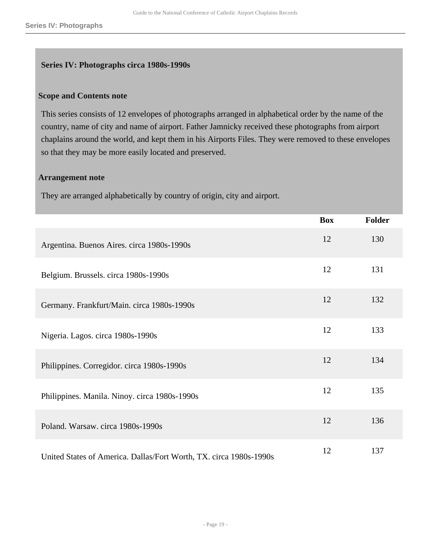#### <span id="page-18-0"></span>**Series IV: Photographs circa 1980s-1990s**

#### **Scope and Contents note**

This series consists of 12 envelopes of photographs arranged in alphabetical order by the name of the country, name of city and name of airport. Father Jamnicky received these photographs from airport chaplains around the world, and kept them in his Airports Files. They were removed to these envelopes so that they may be more easily located and preserved.

#### **Arrangement note**

They are arranged alphabetically by country of origin, city and airport.

|                                                                    | <b>Box</b> | <b>Folder</b> |
|--------------------------------------------------------------------|------------|---------------|
| Argentina. Buenos Aires. circa 1980s-1990s                         | 12         | 130           |
| Belgium. Brussels. circa 1980s-1990s                               | 12         | 131           |
| Germany. Frankfurt/Main. circa 1980s-1990s                         | 12         | 132           |
| Nigeria. Lagos. circa 1980s-1990s                                  | 12         | 133           |
| Philippines. Corregidor. circa 1980s-1990s                         | 12         | 134           |
| Philippines. Manila. Ninoy. circa 1980s-1990s                      | 12         | 135           |
| Poland. Warsaw. circa 1980s-1990s                                  | 12         | 136           |
| United States of America. Dallas/Fort Worth, TX. circa 1980s-1990s | 12         | 137           |